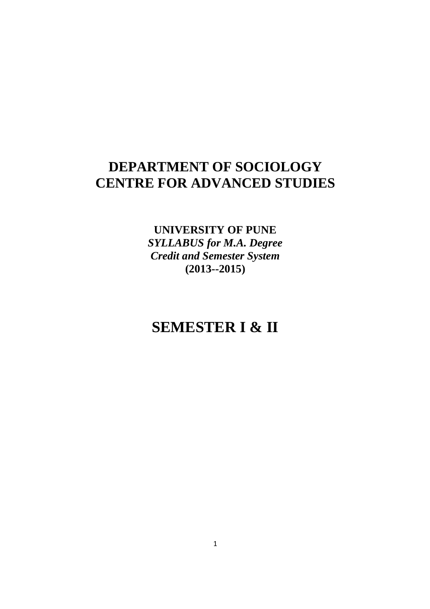# **DEPARTMENT OF SOCIOLOGY CENTRE FOR ADVANCED STUDIES**

**UNIVERSITY OF PUNE**  *SYLLABUS for M.A. Degree Credit and Semester System*  **(2013--2015)** 

# **SEMESTER I & II**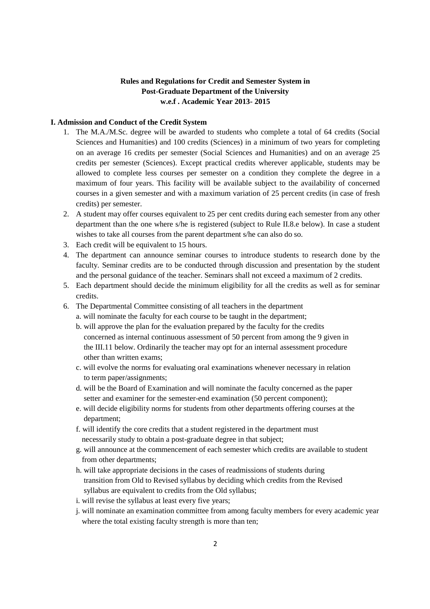# **Rules and Regulations for Credit and Semester System in Post-Graduate Department of the University w.e.f . Academic Year 2013- 2015**

## **I. Admission and Conduct of the Credit System**

- 1. The M.A./M.Sc. degree will be awarded to students who complete a total of 64 credits (Social Sciences and Humanities) and 100 credits (Sciences) in a minimum of two years for completing on an average 16 credits per semester (Social Sciences and Humanities) and on an average 25 credits per semester (Sciences). Except practical credits wherever applicable, students may be allowed to complete less courses per semester on a condition they complete the degree in a maximum of four years. This facility will be available subject to the availability of concerned courses in a given semester and with a maximum variation of 25 percent credits (in case of fresh credits) per semester.
- 2. A student may offer courses equivalent to 25 per cent credits during each semester from any other department than the one where s/he is registered (subject to Rule II.8.e below). In case a student wishes to take all courses from the parent department s/he can also do so.
- 3. Each credit will be equivalent to 15 hours.
- 4. The department can announce seminar courses to introduce students to research done by the faculty. Seminar credits are to be conducted through discussion and presentation by the student and the personal guidance of the teacher. Seminars shall not exceed a maximum of 2 credits.
- 5. Each department should decide the minimum eligibility for all the credits as well as for seminar credits.
- 6. The Departmental Committee consisting of all teachers in the department
	- a. will nominate the faculty for each course to be taught in the department;
	- b. will approve the plan for the evaluation prepared by the faculty for the credits concerned as internal continuous assessment of 50 percent from among the 9 given in the III.11 below. Ordinarily the teacher may opt for an internal assessment procedure other than written exams;
	- c. will evolve the norms for evaluating oral examinations whenever necessary in relation to term paper/assignments;
	- d. will be the Board of Examination and will nominate the faculty concerned as the paper setter and examiner for the semester-end examination (50 percent component);
	- e. will decide eligibility norms for students from other departments offering courses at the department;
	- f. will identify the core credits that a student registered in the department must necessarily study to obtain a post-graduate degree in that subject;
	- g. will announce at the commencement of each semester which credits are available to student from other departments;
	- h. will take appropriate decisions in the cases of readmissions of students during transition from Old to Revised syllabus by deciding which credits from the Revised syllabus are equivalent to credits from the Old syllabus;
	- i. will revise the syllabus at least every five years;
	- j. will nominate an examination committee from among faculty members for every academic year where the total existing faculty strength is more than ten;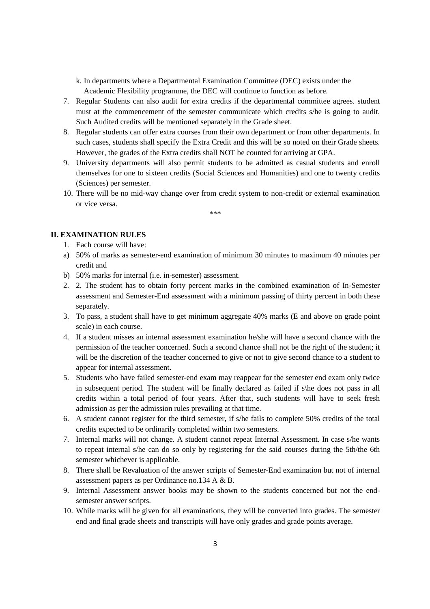- k. In departments where a Departmental Examination Committee (DEC) exists under the Academic Flexibility programme, the DEC will continue to function as before.
- 7. Regular Students can also audit for extra credits if the departmental committee agrees. student must at the commencement of the semester communicate which credits s/he is going to audit. Such Audited credits will be mentioned separately in the Grade sheet.
- 8. Regular students can offer extra courses from their own department or from other departments. In such cases, students shall specify the Extra Credit and this will be so noted on their Grade sheets. However, the grades of the Extra credits shall NOT be counted for arriving at GPA.
- 9. University departments will also permit students to be admitted as casual students and enroll themselves for one to sixteen credits (Social Sciences and Humanities) and one to twenty credits (Sciences) per semester.
- 10. There will be no mid-way change over from credit system to non-credit or external examination or vice versa.

\*\*\*

# **II. EXAMINATION RULES**

- 1. Each course will have:
- a) 50% of marks as semester-end examination of minimum 30 minutes to maximum 40 minutes per credit and
- b) 50% marks for internal (i.e. in-semester) assessment.
- 2. 2. The student has to obtain forty percent marks in the combined examination of In-Semester assessment and Semester-End assessment with a minimum passing of thirty percent in both these separately.
- 3. To pass, a student shall have to get minimum aggregate 40% marks (E and above on grade point scale) in each course.
- 4. If a student misses an internal assessment examination he/she will have a second chance with the permission of the teacher concerned. Such a second chance shall not be the right of the student; it will be the discretion of the teacher concerned to give or not to give second chance to a student to appear for internal assessment.
- 5. Students who have failed semester-end exam may reappear for the semester end exam only twice in subsequent period. The student will be finally declared as failed if s\he does not pass in all credits within a total period of four years. After that, such students will have to seek fresh admission as per the admission rules prevailing at that time.
- 6. A student cannot register for the third semester, if s/he fails to complete 50% credits of the total credits expected to be ordinarily completed within two semesters.
- 7. Internal marks will not change. A student cannot repeat Internal Assessment. In case s/he wants to repeat internal s/he can do so only by registering for the said courses during the 5th/the 6th semester whichever is applicable.
- 8. There shall be Revaluation of the answer scripts of Semester-End examination but not of internal assessment papers as per Ordinance no.134 A & B.
- 9. Internal Assessment answer books may be shown to the students concerned but not the endsemester answer scripts.
- 10. While marks will be given for all examinations, they will be converted into grades. The semester end and final grade sheets and transcripts will have only grades and grade points average.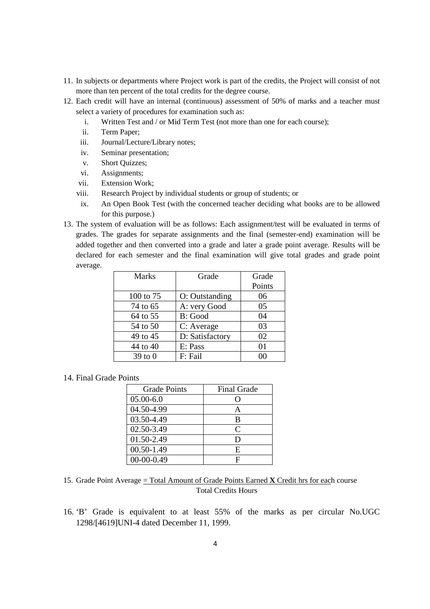- 11. In subjects or departments where Project work is part of the credits, the Project will consist of not more than ten percent of the total credits for the degree course.
- 12. Each credit will have an internal (continuous) assessment of 50% of marks and a teacher must select a variety of procedures for examination such as:
	- i. Written Test and / or Mid Term Test (not more than one for each course);
	- ii. Term Paper;
	- iii. Journal/Lecture/Library notes;
	- iv. Seminar presentation;
	- v. Short Quizzes;
	- vi. Assignments;
	- vii. Extension Work;
	- viii. Research Project by individual students or group of students; or
	- ix. An Open Book Test (with the concerned teacher deciding what books are to be allowed for this purpose.)
- 13. The system of evaluation will be as follows: Each assignment/test will be evaluated in terms of grades. The grades for separate assignments and the final (semester-end) examination will be added together and then converted into a grade and later a grade point average. Results will be declared for each semester and the final examination will give total grades and grade point average.

| <b>Marks</b> | Grade           | Grade  |
|--------------|-----------------|--------|
|              |                 | Points |
| 100 to 75    | O: Outstanding  | 06     |
| 74 to 65     | A: very Good    | 05     |
| 64 to 55     | B: Good         | 04     |
| 54 to 50     | C: Average      | 03     |
| 49 to 45     | D: Satisfactory | 02     |
| 44 to 40     | E: Pass         | 01     |
| $39$ to $0$  | F: Fail         |        |

## 14. Final Grade Points

| <b>Grade Points</b> | <b>Final Grade</b>          |
|---------------------|-----------------------------|
| $05.00 - 6.0$       |                             |
| 04.50-4.99          |                             |
| 03.50-4.49          | B                           |
| 02.50-3.49          | $\mathcal{C}_{\mathcal{C}}$ |
| 01.50-2.49          | ו ו                         |
| 00.50-1.49          | E                           |
| $00-00-0.49$        |                             |

15. Grade Point Average = Total Amount of Grade Points Earned **X** Credit hrs for each course Total Credits Hours

16. 'B' Grade is equivalent to at least 55% of the marks as per circular No.UGC 1298/[4619]UNI-4 dated December 11, 1999.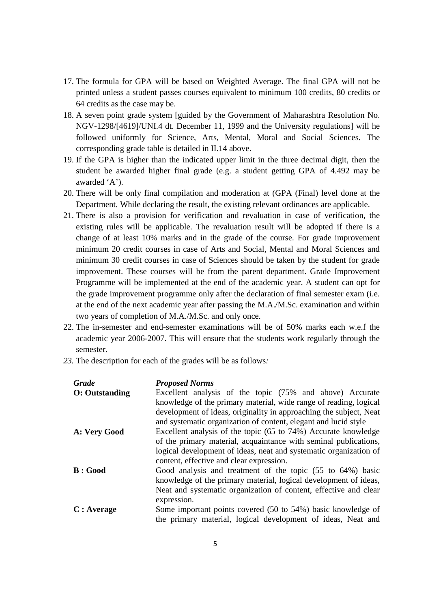- 17. The formula for GPA will be based on Weighted Average. The final GPA will not be printed unless a student passes courses equivalent to minimum 100 credits, 80 credits or 64 credits as the case may be.
- 18. A seven point grade system [guided by the Government of Maharashtra Resolution No. NGV-1298/[4619]/UNI.4 dt. December 11, 1999 and the University regulations] will he followed uniformly for Science, Arts, Mental, Moral and Social Sciences. The corresponding grade table is detailed in II.14 above.
- 19. If the GPA is higher than the indicated upper limit in the three decimal digit, then the student be awarded higher final grade (e.g. a student getting GPA of 4.492 may be awarded 'A').
- 20. There will be only final compilation and moderation at (GPA (Final) level done at the Department. While declaring the result, the existing relevant ordinances are applicable.
- 21. There is also a provision for verification and revaluation in case of verification, the existing rules will be applicable. The revaluation result will be adopted if there is a change of at least 10% marks and in the grade of the course. For grade improvement minimum 20 credit courses in case of Arts and Social, Mental and Moral Sciences and minimum 30 credit courses in case of Sciences should be taken by the student for grade improvement. These courses will be from the parent department. Grade Improvement Programme will be implemented at the end of the academic year. A student can opt for the grade improvement programme only after the declaration of final semester exam (i.e. at the end of the next academic year after passing the M.A./M.Sc. examination and within two years of completion of M.A./M.Sc. and only once.
- 22. The in-semester and end-semester examinations will be of 50% marks each w.e.f the academic year 2006-2007. This will ensure that the students work regularly through the semester.
- *23.* The description for each of the grades will be as follows*:*

| <b>Grade</b>           | <b>Proposed Norms</b>                                              |
|------------------------|--------------------------------------------------------------------|
| <b>O</b> : Outstanding | Excellent analysis of the topic (75% and above) Accurate           |
|                        | knowledge of the primary material, wide range of reading, logical  |
|                        | development of ideas, originality in approaching the subject, Neat |
|                        | and systematic organization of content, elegant and lucid style    |
| A: Very Good           | Excellent analysis of the topic (65 to 74%) Accurate knowledge     |
|                        | of the primary material, acquaintance with seminal publications,   |
|                        | logical development of ideas, neat and systematic organization of  |
|                        | content, effective and clear expression.                           |
| B: Good                | Good analysis and treatment of the topic (55 to 64%) basic         |
|                        | knowledge of the primary material, logical development of ideas,   |
|                        | Neat and systematic organization of content, effective and clear   |
|                        | expression.                                                        |
| C: Average             | Some important points covered (50 to 54%) basic knowledge of       |
|                        | the primary material, logical development of ideas, Neat and       |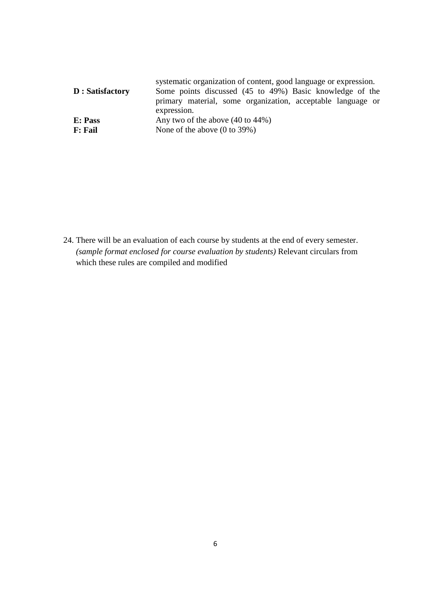| D: Satisfactory | systematic organization of content, good language or expression.<br>Some points discussed (45 to 49%) Basic knowledge of the<br>primary material, some organization, acceptable language or<br>expression. |
|-----------------|------------------------------------------------------------------------------------------------------------------------------------------------------------------------------------------------------------|
| E: Pass         | Any two of the above $(40 \text{ to } 44\%)$                                                                                                                                                               |
| <b>F</b> : Fail | None of the above $(0 \text{ to } 39\%)$                                                                                                                                                                   |

24. There will be an evaluation of each course by students at the end of every semester. *(sample format enclosed for course evaluation by students)* Relevant circulars from which these rules are compiled and modified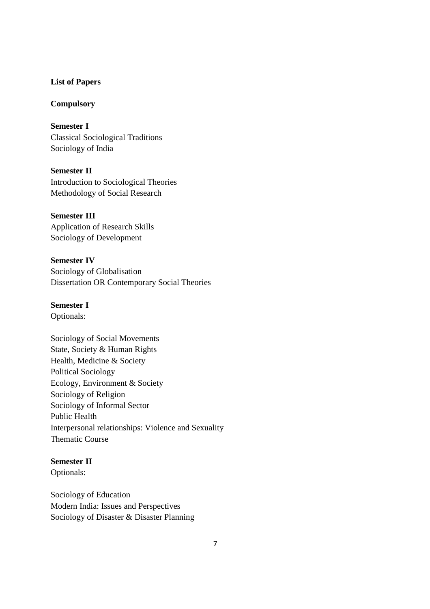## **List of Papers**

## **Compulsory**

**Semester I**  Classical Sociological Traditions Sociology of India

**Semester II**  Introduction to Sociological Theories Methodology of Social Research

**Semester III**  Application of Research Skills Sociology of Development

**Semester IV**  Sociology of Globalisation Dissertation OR Contemporary Social Theories

# **Semester I**

Optionals:

Sociology of Social Movements State, Society & Human Rights Health, Medicine & Society Political Sociology Ecology, Environment & Society Sociology of Religion Sociology of Informal Sector Public Health Interpersonal relationships: Violence and Sexuality Thematic Course

# **Semester II**

Optionals:

Sociology of Education Modern India: Issues and Perspectives Sociology of Disaster & Disaster Planning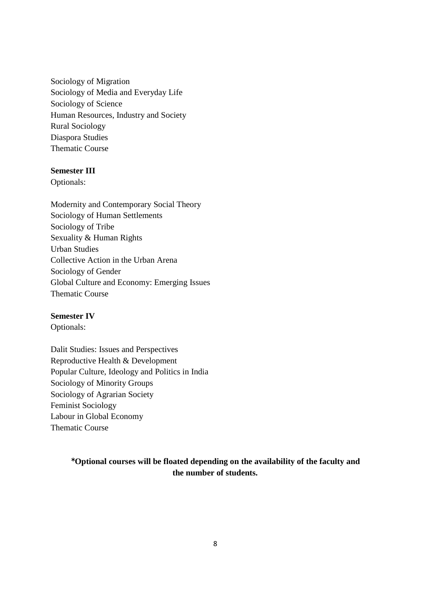Sociology of Migration Sociology of Media and Everyday Life Sociology of Science Human Resources, Industry and Society Rural Sociology Diaspora Studies Thematic Course

# **Semester III**

Optionals:

Modernity and Contemporary Social Theory Sociology of Human Settlements Sociology of Tribe Sexuality & Human Rights Urban Studies Collective Action in the Urban Arena Sociology of Gender Global Culture and Economy: Emerging Issues Thematic Course

## **Semester IV**

Optionals:

Dalit Studies: Issues and Perspectives Reproductive Health & Development Popular Culture, Ideology and Politics in India Sociology of Minority Groups Sociology of Agrarian Society Feminist Sociology Labour in Global Economy Thematic Course

> µ**Optional courses will be floated depending on the availability of the faculty and the number of students.**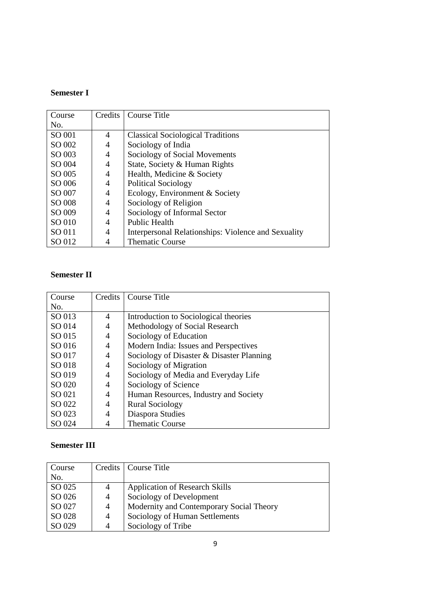# **Semester I**

| Course | Credits        | Course Title                                        |
|--------|----------------|-----------------------------------------------------|
| No.    |                |                                                     |
| SO 001 | 4              | <b>Classical Sociological Traditions</b>            |
| SO 002 | 4              | Sociology of India                                  |
| SO 003 | $\overline{4}$ | Sociology of Social Movements                       |
| SO 004 | $\overline{4}$ | State, Society & Human Rights                       |
| SO 005 | 4              | Health, Medicine & Society                          |
| SO 006 | 4              | <b>Political Sociology</b>                          |
| SO 007 | 4              | Ecology, Environment & Society                      |
| SO 008 | 4              | Sociology of Religion                               |
| SO 009 | 4              | Sociology of Informal Sector                        |
| SO 010 | 4              | <b>Public Health</b>                                |
| SO 011 | 4              | Interpersonal Relationships: Violence and Sexuality |
| SO 012 | 4              | <b>Thematic Course</b>                              |

# **Semester II**

| Course |                | Credits   Course Title                    |
|--------|----------------|-------------------------------------------|
| No.    |                |                                           |
| SO 013 | 4              | Introduction to Sociological theories     |
| SO 014 | 4              | Methodology of Social Research            |
| SO 015 | 4              | Sociology of Education                    |
| SO 016 | $\overline{4}$ | Modern India: Issues and Perspectives     |
| SO 017 | $\overline{4}$ | Sociology of Disaster & Disaster Planning |
| SO 018 | $\overline{4}$ | Sociology of Migration                    |
| SO 019 | 4              | Sociology of Media and Everyday Life      |
| SO 020 | 4              | Sociology of Science                      |
| SO 021 | $\overline{4}$ | Human Resources, Industry and Society     |
| SO 022 | 4              | <b>Rural Sociology</b>                    |
| SO 023 | $\overline{4}$ | Diaspora Studies                          |
| SO 024 | 4              | <b>Thematic Course</b>                    |

# **Semester III**

| Course |                | Credits   Course Title                   |
|--------|----------------|------------------------------------------|
| No.    |                |                                          |
| SO 025 | 4              | <b>Application of Research Skills</b>    |
| SO 026 | $\overline{4}$ | Sociology of Development                 |
| SO 027 | 4              | Modernity and Contemporary Social Theory |
| SO 028 | 4              | Sociology of Human Settlements           |
| SO 029 | 4              | Sociology of Tribe                       |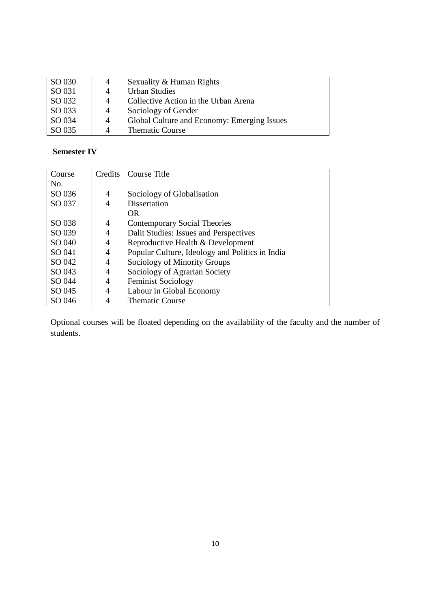| SO 030 | 4              | Sexuality & Human Rights                    |
|--------|----------------|---------------------------------------------|
| SO 031 |                | <b>Urban Studies</b>                        |
| SO 032 | $\overline{4}$ | Collective Action in the Urban Arena        |
| SO 033 | $\overline{4}$ | Sociology of Gender                         |
| SO 034 | $\overline{4}$ | Global Culture and Economy: Emerging Issues |
| SO 035 | $\Delta$       | <b>Thematic Course</b>                      |

# **Semester IV**

| Course | Credits | Course Title                                    |
|--------|---------|-------------------------------------------------|
| No.    |         |                                                 |
| SO 036 | 4       | Sociology of Globalisation                      |
| SO 037 | 4       | Dissertation                                    |
|        |         | OR.                                             |
| SO 038 | 4       | Contemporary Social Theories                    |
| SO 039 | 4       | Dalit Studies: Issues and Perspectives          |
| SO 040 | 4       | Reproductive Health & Development               |
| SO 041 | 4       | Popular Culture, Ideology and Politics in India |
| SO 042 | 4       | Sociology of Minority Groups                    |
| SO 043 | 4       | Sociology of Agrarian Society                   |
| SO 044 | 4       | <b>Feminist Sociology</b>                       |
| SO 045 | 4       | Labour in Global Economy                        |
| SO 046 | 4       | <b>Thematic Course</b>                          |

Optional courses will be floated depending on the availability of the faculty and the number of students.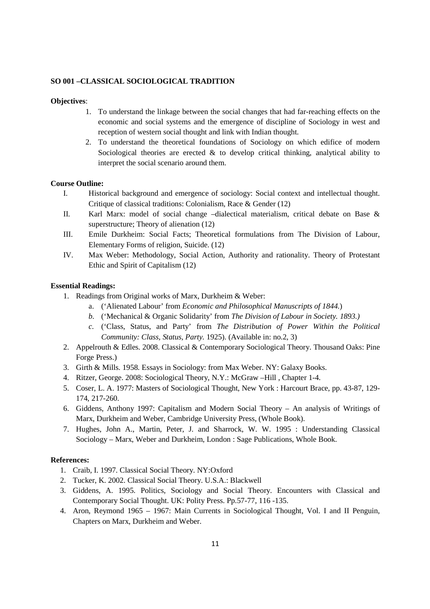### **SO 001 –CLASSICAL SOCIOLOGICAL TRADITION**

#### **Objectives**:

- 1. To understand the linkage between the social changes that had far-reaching effects on the economic and social systems and the emergence of discipline of Sociology in west and reception of western social thought and link with Indian thought.
- 2. To understand the theoretical foundations of Sociology on which edifice of modern Sociological theories are erected  $\&$  to develop critical thinking, analytical ability to interpret the social scenario around them.

#### **Course Outline:**

- I. Historical background and emergence of sociology: Social context and intellectual thought. Critique of classical traditions: Colonialism, Race & Gender (12)
- II. Karl Marx: model of social change –dialectical materialism, critical debate on Base & superstructure; Theory of alienation (12)
- III. Emile Durkheim: Social Facts; Theoretical formulations from The Division of Labour, Elementary Forms of religion, Suicide. (12)
- IV. Max Weber: Methodology, Social Action, Authority and rationality. Theory of Protestant Ethic and Spirit of Capitalism (12)

### **Essential Readings:**

- 1. Readings from Original works of Marx, Durkheim & Weber:
	- a. ('Alienated Labour' from *Economic and Philosophical Manuscripts of 1844*.)
	- *b.* ('Mechanical & Organic Solidarity' from *The Division of Labour in Society. 1893.)*
	- *c.* ('Class, Status, and Party' from *The Distribution of Power Within the Political Community: Class, Status, Party.* 1925). (Available in: no.2, 3)
- 2. Appelrouth & Edles. 2008. Classical & Contemporary Sociological Theory. Thousand Oaks: Pine Forge Press.)
- 3. Girth & Mills. 1958. Essays in Sociology: from Max Weber. NY: Galaxy Books.
- 4. Ritzer, George. 2008: Sociological Theory, N.Y.: McGraw –Hill , Chapter 1-4.
- 5. Coser, L. A. 1977: Masters of Sociological Thought, New York : Harcourt Brace, pp. 43-87, 129- 174, 217-260.
- 6. Giddens, Anthony 1997: Capitalism and Modern Social Theory An analysis of Writings of Marx, Durkheim and Weber, Cambridge University Press, (Whole Book).
- 7. Hughes, John A., Martin, Peter, J. and Sharrock, W. W. 1995 : Understanding Classical Sociology – Marx, Weber and Durkheim, London : Sage Publications, Whole Book.

#### **References:**

- 1. Craib, I. 1997. Classical Social Theory. NY:Oxford
- 2. Tucker, K. 2002. Classical Social Theory. U.S.A.: Blackwell
- 3. Giddens, A. 1995. Politics, Sociology and Social Theory. Encounters with Classical and Contemporary Social Thought. UK: Polity Press. Pp.57-77, 116 -135.
- 4. Aron, Reymond 1965 1967: Main Currents in Sociological Thought, Vol. I and II Penguin, Chapters on Marx, Durkheim and Weber.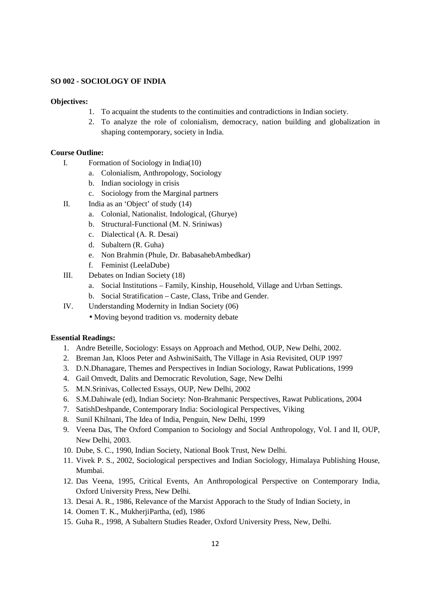### **SO 002 - SOCIOLOGY OF INDIA**

#### **Objectives:**

- 1. To acquaint the students to the continuities and contradictions in Indian society.
- 2. To analyze the role of colonialism, democracy, nation building and globalization in shaping contemporary, society in India.

#### **Course Outline:**

- I. Formation of Sociology in India(10)
	- a. Colonialism, Anthropology, Sociology
	- b. Indian sociology in crisis
	- c. Sociology from the Marginal partners
- II. India as an 'Object' of study (14)
	- a. Colonial, Nationalist, Indological, (Ghurye)
	- b. Structural-Functional (M. N. Sriniwas)
	- c. Dialectical (A. R. Desai)
	- d. Subaltern (R. Guha)
	- e. Non Brahmin (Phule, Dr. BabasahebAmbedkar)
	- f. Feminist (LeelaDube)
- III. Debates on Indian Society (18)
	- a. Social Institutions Family, Kinship, Household, Village and Urban Settings.
	- b. Social Stratification Caste, Class, Tribe and Gender.
- IV. Understanding Modernity in Indian Society (06)
	- Moving beyond tradition vs. modernity debate

- 1. Andre Beteille, Sociology: Essays on Approach and Method, OUP, New Delhi, 2002.
- 2. Breman Jan, Kloos Peter and AshwiniSaith, The Village in Asia Revisited, OUP 1997
- 3. D.N.Dhanagare, Themes and Perspectives in Indian Sociology, Rawat Publications, 1999
- 4. Gail Omvedt, Dalits and Democratic Revolution, Sage, New Delhi
- 5. M.N.Srinivas, Collected Essays, OUP, New Delhi, 2002
- 6. S.M.Dahiwale (ed), Indian Society: Non-Brahmanic Perspectives, Rawat Publications, 2004
- 7. SatishDeshpande, Contemporary India: Sociological Perspectives, Viking
- 8. Sunil Khilnani, The Idea of India, Penguin, New Delhi, 1999
- 9. Veena Das, The Oxford Companion to Sociology and Social Anthropology, Vol. I and II, OUP, New Delhi, 2003.
- 10. Dube, S. C., 1990, Indian Society, National Book Trust, New Delhi.
- 11. Vivek P. S., 2002, Sociological perspectives and Indian Sociology, Himalaya Publishing House, Mumbai.
- 12. Das Veena, 1995, Critical Events, An Anthropological Perspective on Contemporary India, Oxford University Press, New Delhi.
- 13. Desai A. R., 1986, Relevance of the Marxist Apporach to the Study of Indian Society, in
- 14. Oomen T. K., MukherjiPartha, (ed), 1986
- 15. Guha R., 1998, A Subaltern Studies Reader, Oxford University Press, New, Delhi.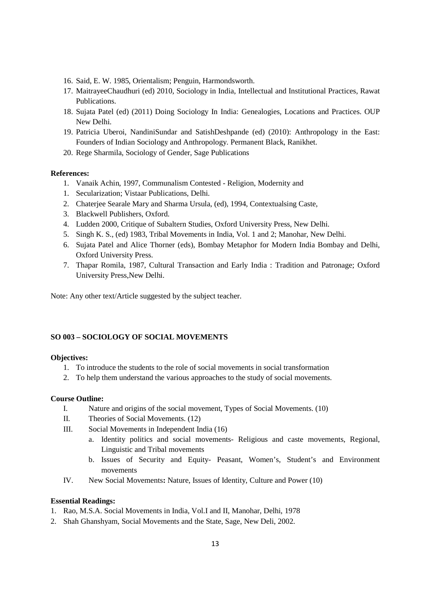- 16. Said, E. W. 1985, Orientalism; Penguin, Harmondsworth.
- 17. MaitrayeeChaudhuri (ed) 2010, Sociology in India, Intellectual and Institutional Practices, Rawat Publications.
- 18. Sujata Patel (ed) (2011) Doing Sociology In India: Genealogies, Locations and Practices. OUP New Delhi.
- 19. Patricia Uberoi, NandiniSundar and SatishDeshpande (ed) (2010): Anthropology in the East: Founders of Indian Sociology and Anthropology. Permanent Black, Ranikhet.
- 20. Rege Sharmila, Sociology of Gender, Sage Publications

#### **References:**

- 1. Vanaik Achin, 1997, Communalism Contested Religion, Modernity and
- 1. Secularization; Vistaar Publications, Delhi.
- 2. Chaterjee Searale Mary and Sharma Ursula, (ed), 1994, Contextualsing Caste,
- 3. Blackwell Publishers, Oxford.
- 4. Ludden 2000, Critique of Subaltern Studies, Oxford University Press, New Delhi.
- 5. Singh K. S., (ed) 1983, Tribal Movements in India, Vol. 1 and 2; Manohar, New Delhi.
- 6. Sujata Patel and Alice Thorner (eds), Bombay Metaphor for Modern India Bombay and Delhi, Oxford University Press.
- 7. Thapar Romila, 1987, Cultural Transaction and Early India : Tradition and Patronage; Oxford University Press,New Delhi.

Note: Any other text/Article suggested by the subject teacher.

### **SO 003 – SOCIOLOGY OF SOCIAL MOVEMENTS**

#### **Objectives:**

- 1. To introduce the students to the role of social movements in social transformation
- 2. To help them understand the various approaches to the study of social movements.

#### **Course Outline:**

- I. Nature and origins of the social movement, Types of Social Movements. (10)
- II. Theories of Social Movements. (12)
- III. Social Movements in Independent India (16)
	- a. Identity politics and social movements- Religious and caste movements, Regional, Linguistic and Tribal movements
	- b. Issues of Security and Equity- Peasant, Women's, Student's and Environment movements
- IV. New Social Movements**:** Nature, Issues of Identity, Culture and Power (10)

- 1. Rao, M.S.A. Social Movements in India, Vol.I and II, Manohar, Delhi, 1978
- 2. Shah Ghanshyam, Social Movements and the State, Sage, New Deli, 2002.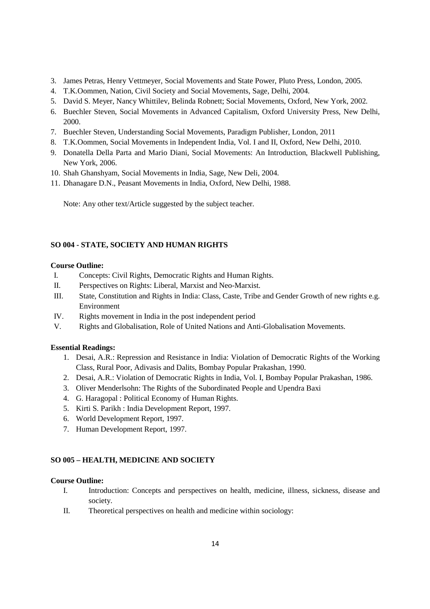- 3. James Petras, Henry Vettmeyer, Social Movements and State Power, Pluto Press, London, 2005.
- 4. T.K.Oommen, Nation, Civil Society and Social Movements, Sage, Delhi, 2004.
- 5. David S. Meyer, Nancy Whittilev, Belinda Robnett; Social Movements, Oxford, New York, 2002.
- 6. Buechler Steven, Social Movements in Advanced Capitalism, Oxford University Press, New Delhi, 2000.
- 7. Buechler Steven, Understanding Social Movements, Paradigm Publisher, London, 2011
- 8. T.K.Oommen, Social Movements in Independent India, Vol. I and II, Oxford, New Delhi, 2010.
- 9. Donatella Della Parta and Mario Diani, Social Movements: An Introduction, Blackwell Publishing, New York, 2006.
- 10. Shah Ghanshyam, Social Movements in India, Sage, New Deli, 2004.
- 11. Dhanagare D.N., Peasant Movements in India, Oxford, New Delhi, 1988.

Note: Any other text/Article suggested by the subject teacher.

# **SO 004 - STATE, SOCIETY AND HUMAN RIGHTS**

## **Course Outline:**

- I. Concepts: Civil Rights, Democratic Rights and Human Rights.
- II. Perspectives on Rights: Liberal, Marxist and Neo-Marxist.
- III. State, Constitution and Rights in India: Class, Caste, Tribe and Gender Growth of new rights e.g. Environment
- IV. Rights movement in India in the post independent period
- V. Rights and Globalisation, Role of United Nations and Anti-Globalisation Movements.

## **Essential Readings:**

- 1. Desai, A.R.: Repression and Resistance in India: Violation of Democratic Rights of the Working Class, Rural Poor, Adivasis and Dalits, Bombay Popular Prakashan, 1990.
- 2. Desai, A.R.: Violation of Democratic Rights in India, Vol. I, Bombay Popular Prakashan, 1986.
- 3. Oliver Menderlsohn: The Rights of the Subordinated People and Upendra Baxi
- 4. G. Haragopal : Political Economy of Human Rights.
- 5. Kirti S. Parikh : India Development Report, 1997.
- 6. World Development Report, 1997.
- 7. Human Development Report, 1997.

## **SO 005 – HEALTH, MEDICINE AND SOCIETY**

## **Course Outline:**

- I. Introduction: Concepts and perspectives on health, medicine, illness, sickness, disease and society.
- II. Theoretical perspectives on health and medicine within sociology: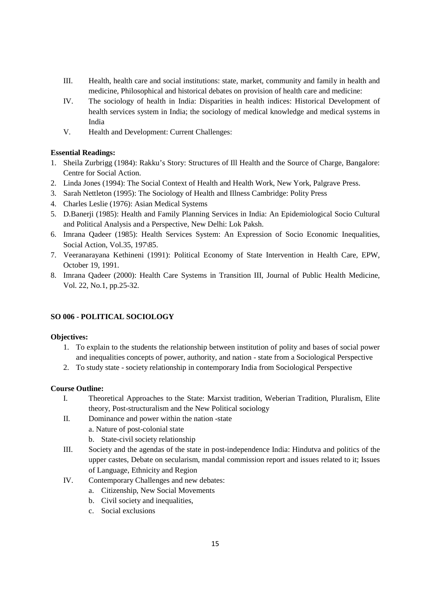- III. Health, health care and social institutions: state, market, community and family in health and medicine, Philosophical and historical debates on provision of health care and medicine:
- IV. The sociology of health in India: Disparities in health indices: Historical Development of health services system in India; the sociology of medical knowledge and medical systems in India
- V. Health and Development: Current Challenges:

## **Essential Readings:**

- 1. Sheila Zurbrigg (1984): Rakku's Story: Structures of Ill Health and the Source of Charge, Bangalore: Centre for Social Action.
- 2. Linda Jones (1994): The Social Context of Health and Health Work, New York, Palgrave Press.
- 3. Sarah Nettleton (1995): The Sociology of Health and Illness Cambridge: Polity Press
- 4. Charles Leslie (1976): Asian Medical Systems
- 5. D.Banerji (1985): Health and Family Planning Services in India: An Epidemiological Socio Cultural and Political Analysis and a Perspective, New Delhi: Lok Paksh.
- 6. Imrana Qadeer (1985): Health Services System: An Expression of Socio Economic Inequalities, Social Action, Vol.35, 197\85.
- 7. Veeranarayana Kethineni (1991): Political Economy of State Intervention in Health Care, EPW, October 19, 1991.
- 8. Imrana Qadeer (2000): Health Care Systems in Transition III, Journal of Public Health Medicine, Vol. 22, No.1, pp.25-32.

## **SO 006 - POLITICAL SOCIOLOGY**

## **Objectives:**

- 1. To explain to the students the relationship between institution of polity and bases of social power and inequalities concepts of power, authority, and nation - state from a Sociological Perspective
- 2. To study state society relationship in contemporary India from Sociological Perspective

## **Course Outline:**

- I. Theoretical Approaches to the State: Marxist tradition, Weberian Tradition, Pluralism, Elite theory, Post-structuralism and the New Political sociology
- II. Dominance and power within the nation -state
	- a. Nature of post-colonial state
	- b. State-civil society relationship
- III. Society and the agendas of the state in post-independence India: Hindutva and politics of the upper castes, Debate on secularism, mandal commission report and issues related to it; Issues of Language, Ethnicity and Region
- IV. Contemporary Challenges and new debates:
	- a. Citizenship, New Social Movements
	- b. Civil society and inequalities,
	- c. Social exclusions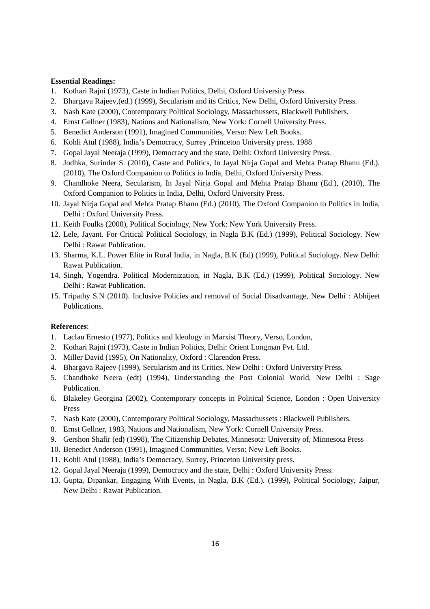#### **Essential Readings:**

- 1. Kothari Rajni (1973), Caste in Indian Politics, Delhi, Oxford University Press.
- 2. Bhargava Rajeev,(ed.) (1999), Secularism and its Critics, New Delhi, Oxford University Press.
- 3. Nash Kate (2000), Contemporary Political Sociology, Massachussets, Blackwell Publishers.
- 4. Ernst Gellner (1983), Nations and Nationalism, New York: Cornell University Press.
- 5. Benedict Anderson (1991), Imagined Communities, Verso: New Left Books.
- 6. Kohli Atul (1988), India's Democracy, Surrey ,Princeton University press. 1988
- 7. Gopal Jayal Neeraja (1999), Democracy and the state, Delhi: Oxford University Press.
- 8. Jodhka, Surinder S. (2010), Caste and Politics, In Jayal Nirja Gopal and Mehta Pratap Bhanu (Ed.), (2010), The Oxford Companion to Politics in India, Delhi, Oxford University Press.
- 9. Chandhoke Neera, Secularism, In Jayal Nirja Gopal and Mehta Pratap Bhanu (Ed.), (2010), The Oxford Companion to Politics in India, Delhi, Oxford University Press.
- 10. Jayal Nirja Gopal and Mehta Pratap Bhanu (Ed.) (2010), The Oxford Companion to Politics in India, Delhi : Oxford University Press.
- 11. Keith Foulks (2000), Political Sociology, New York: New York University Press.
- 12. Lele, Jayant. For Critical Political Sociology, in Nagla B.K (Ed.) (1999), Political Sociology. New Delhi : Rawat Publication.
- 13. Sharma, K.L. Power Elite in Rural India, in Nagla, B.K (Ed) (1999), Political Sociology. New Delhi: Rawat Publication.
- 14. Singh, Yogendra. Political Modernization, in Nagla, B.K (Ed.) (1999), Political Sociology. New Delhi : Rawat Publication.
- 15. Tripathy S.N (2010). Inclusive Policies and removal of Social Disadvantage, New Delhi : Abhijeet Publications.

#### **References**:

- 1. Laclau Ernesto (1977), Politics and Ideology in Marxist Theory, Verso, London,
- 2. Kothari Rajni (1973), Caste in Indian Politics, Delhi: Orient Longman Pvt. Ltd.
- 3. Miller David (1995), On Nationality, Oxford : Clarendon Press.
- 4. Bhargava Rajeev (1999), Secularism and its Critics, New Delhi : Oxford University Press.
- 5. Chandhoke Neera (edt) (1994), Understanding the Post Colonial World, New Delhi : Sage Publication.
- 6. Blakeley Georgina (2002), Contemporary concepts in Political Science, London : Open University Press
- 7. Nash Kate (2000), Contemporary Political Sociology, Massachussets : Blackwell Publishers.
- 8. Ernst Gellner, 1983, Nations and Nationalism, New York: Cornell University Press.
- 9. Gershon Shafir (ed) (1998), The Citizenship Debates, Minnesota: University of, Minnesota Press
- 10. Benedict Anderson (1991), Imagined Communities, Verso: New Left Books.
- 11. Kohli Atul (1988), India's Democracy, Surrey, Princeton University press.
- 12. Gopal Jayal Neeraja (1999), Democracy and the state, Delhi : Oxford University Press.
- 13. Gupta, Dipankar, Engaging With Events, in Nagla, B.K (Ed.). (1999), Political Sociology, Jaipur, New Delhi : Rawat Publication.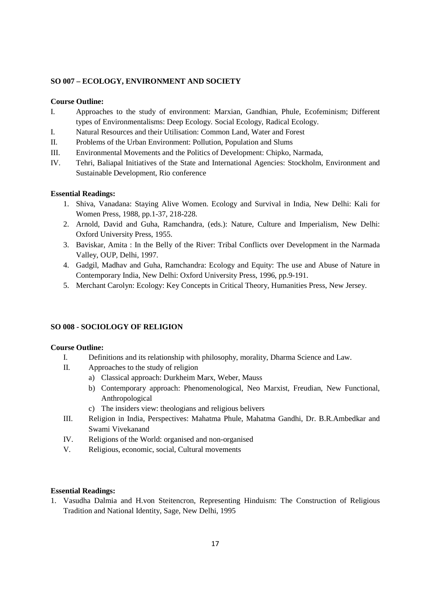## **SO 007 – ECOLOGY, ENVIRONMENT AND SOCIETY**

#### **Course Outline:**

- I. Approaches to the study of environment: Marxian, Gandhian, Phule, Ecofeminism; Different types of Environmentalisms: Deep Ecology. Social Ecology, Radical Ecology.
- I. Natural Resources and their Utilisation: Common Land, Water and Forest
- II. Problems of the Urban Environment: Pollution, Population and Slums
- III. Environmental Movements and the Politics of Development: Chipko, Narmada,
- IV. Tehri, Baliapal Initiatives of the State and International Agencies: Stockholm, Environment and Sustainable Development, Rio conference

## **Essential Readings:**

- 1. Shiva, Vanadana: Staying Alive Women. Ecology and Survival in India, New Delhi: Kali for Women Press, 1988, pp.1-37, 218-228.
- 2. Arnold, David and Guha, Ramchandra, (eds.): Nature, Culture and Imperialism, New Delhi: Oxford University Press, 1955.
- 3. Baviskar, Amita : In the Belly of the River: Tribal Conflicts over Development in the Narmada Valley, OUP, Delhi, 1997.
- 4. Gadgil, Madhav and Guha, Ramchandra: Ecology and Equity: The use and Abuse of Nature in Contemporary India, New Delhi: Oxford University Press, 1996, pp.9-191.
- 5. Merchant Carolyn: Ecology: Key Concepts in Critical Theory, Humanities Press, New Jersey.

#### **SO 008 - SOCIOLOGY OF RELIGION**

#### **Course Outline:**

- I. Definitions and its relationship with philosophy, morality, Dharma Science and Law.
- II. Approaches to the study of religion
	- a) Classical approach: Durkheim Marx, Weber, Mauss
	- b) Contemporary approach: Phenomenological, Neo Marxist, Freudian, New Functional, Anthropological
	- c) The insiders view: theologians and religious belivers
- III. Religion in India, Perspectives: Mahatma Phule, Mahatma Gandhi, Dr. B.R.Ambedkar and Swami Vivekanand
- IV. Religions of the World: organised and non-organised
- V. Religious, economic, social, Cultural movements

## **Essential Readings:**

1. Vasudha Dalmia and H.von Steitencron, Representing Hinduism: The Construction of Religious Tradition and National Identity, Sage, New Delhi, 1995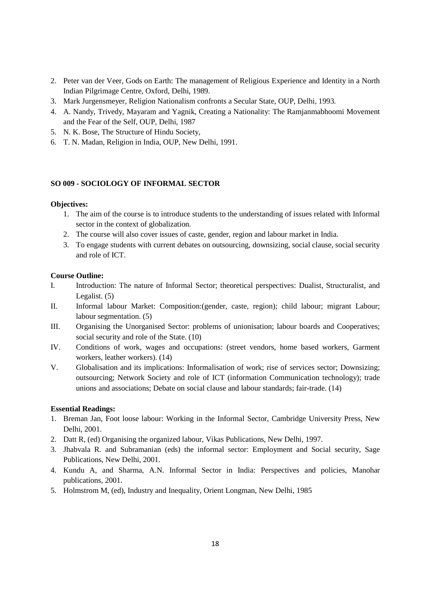- 2. Peter van der Veer, Gods on Earth: The management of Religious Experience and Identity in a North Indian Pilgrimage Centre, Oxford, Delhi, 1989.
- 3. Mark Jurgensmeyer, Religion Nationalism confronts a Secular State, OUP, Delhi, 1993.
- 4. A. Nandy, Trivedy, Mayaram and Yagnik, Creating a Nationality: The Ramjanmabhoomi Movement and the Fear of the Self, OUP, Delhi, 1987
- 5. N. K. Bose, The Structure of Hindu Society,
- 6. T. N. Madan, Religion in India, OUP, New Delhi, 1991.

### **SO 009 - SOCIOLOGY OF INFORMAL SECTOR**

## **Objectives:**

- 1. The aim of the course is to introduce students to the understanding of issues related with Informal sector in the context of globalization.
- 2. The course will also cover issues of caste, gender, region and labour market in India.
- 3. To engage students with current debates on outsourcing, downsizing, social clause, social security and role of ICT.

#### **Course Outline:**

- I. Introduction: The nature of Informal Sector; theoretical perspectives: Dualist, Structuralist, and Legalist. (5)
- II. Informal labour Market: Composition:(gender, caste, region); child labour; migrant Labour; labour segmentation. (5)
- III. Organising the Unorganised Sector: problems of unionisation; labour boards and Cooperatives; social security and role of the State. (10)
- IV. Conditions of work, wages and occupations: (street vendors, home based workers, Garment workers, leather workers). (14)
- V. Globalisation and its implications: Informalisation of work; rise of services sector; Downsizing; outsourcing; Network Society and role of ICT (information Communication technology); trade unions and associations; Debate on social clause and labour standards; fair-trade. (14)

- 1. Breman Jan, Foot loose labour: Working in the Informal Sector, Cambridge University Press, New Delhi, 2001.
- 2. Datt R, (ed) Organising the organized labour, Vikas Publications, New Delhi, 1997.
- 3. Jhabvala R. and Subramanian (eds) the informal sector: Employment and Social security, Sage Publications, New Delhi, 2001.
- 4. Kundu A, and Sharma, A.N. Informal Sector in India: Perspectives and policies, Manohar publications, 2001.
- 5. Holmstrom M, (ed), Industry and Inequality, Orient Longman, New Delhi, 1985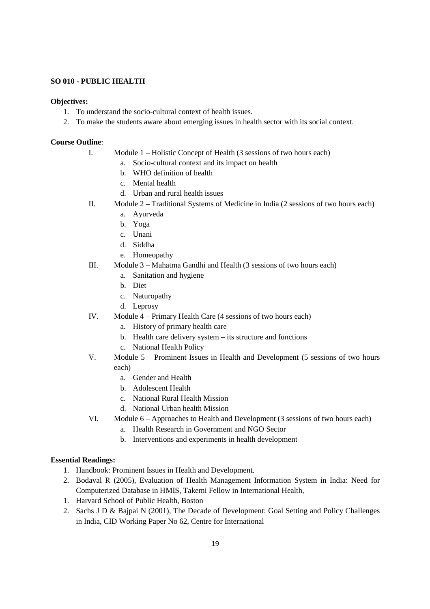## **SO 010 - PUBLIC HEALTH**

#### **Objectives:**

- 1. To understand the socio-cultural context of health issues.
- 2. To make the students aware about emerging issues in health sector with its social context.

#### **Course Outline**:

- I. Module 1 Holistic Concept of Health (3 sessions of two hours each)
	- a. Socio-cultural context and its impact on health
		- b. WHO definition of health
		- c. Mental health
		- d. Urban and rural health issues
- II. Module 2 Traditional Systems of Medicine in India (2 sessions of two hours each)
	- a. Ayurveda
	- b. Yoga
	- c. Unani
	- d. Siddha
	- e. Homeopathy
- III. Module 3 Mahatma Gandhi and Health (3 sessions of two hours each)
	- a. Sanitation and hygiene
	- b. Diet
	- c. Naturopathy
	- d. Leprosy
- IV. Module 4 Primary Health Care (4 sessions of two hours each)
	- a. History of primary health care
	- b. Health care delivery system its structure and functions
	- c. National Health Policy
- V. Module 5 Prominent Issues in Health and Development (5 sessions of two hours each)
	- a. Gender and Health
	- b. Adolescent Health
	- c. National Rural Health Mission
	- d. National Urban health Mission
- VI. Module 6 Approaches to Health and Development (3 sessions of two hours each)
	- a. Health Research in Government and NGO Sector
	- b. Interventions and experiments in health development

- 1. Handbook: Prominent Issues in Health and Development.
- 2. Bodaval R (2005), Evaluation of Health Management Information System in India: Need for Computerized Database in HMIS, Takemi Fellow in International Health,
- 1. Harvard School of Public Health, Boston
- 2. Sachs J D & Bajpai N (2001), The Decade of Development: Goal Setting and Policy Challenges in India, CID Working Paper No 62, Centre for International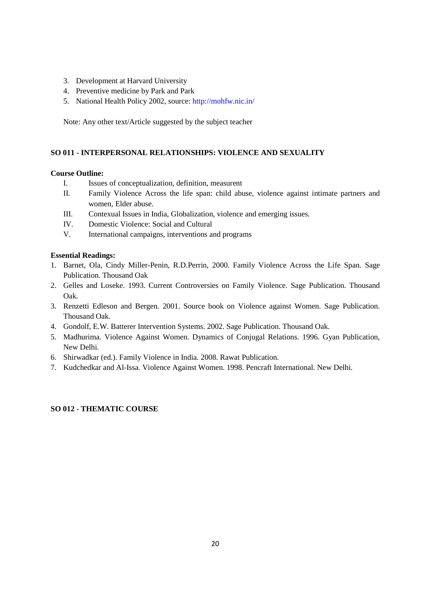- 3. Development at Harvard University
- 4. Preventive medicine by Park and Park
- 5. National Health Policy 2002, source: http://mohfw.nic.in/

Note: Any other text/Article suggested by the subject teacher

#### **SO 011 - INTERPERSONAL RELATIONSHIPS: VIOLENCE AND SEXUALITY**

## **Course Outline:**

- I. Issues of conceptualization, definition, measurent
- II. Family Violence Across the life span: child abuse, violence against intimate partners and women, Elder abuse.
- III. Contexual Issues in India, Globalization, violence and emerging issues.
- IV. Domestic Violence: Social and Cultural
- V. International campaigns, interventions and programs

#### **Essential Readings:**

- 1. Barnet, Ola, Cindy Miller-Penin, R.D.Perrin, 2000. Family Violence Across the Life Span. Sage Publication. Thousand Oak
- 2. Gelles and Loseke. 1993. Current Controversies on Family Violence. Sage Publication. Thousand Oak.
- 3. Renzetti Edleson and Bergen. 2001. Source book on Violence against Women. Sage Publication. Thousand Oak.
- 4. Gondolf, E.W. Batterer Intervention Systems. 2002. Sage Publication. Thousand Oak.
- 5. Madhurima. Violence Against Women. Dynamics of Conjugal Relations. 1996. Gyan Publication, New Delhi.
- 6. Shirwadkar (ed.). Family Violence in India. 2008. Rawat Publication.
- 7. Kudchedkar and Al-Issa. Violence Against Women. 1998. Pencraft International. New Delhi.

# **SO 012 - THEMATIC COURSE**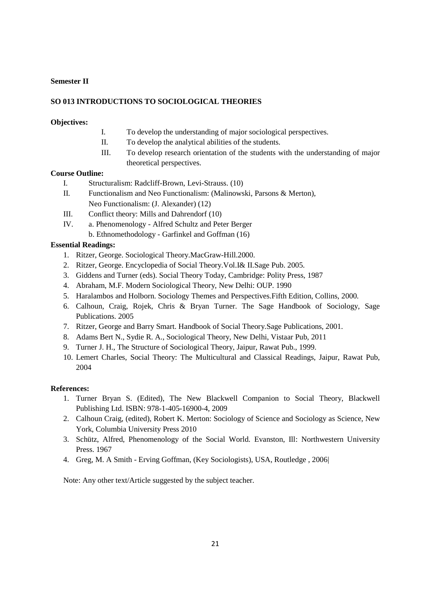### **Semester II**

## **SO 013 INTRODUCTIONS TO SOCIOLOGICAL THEORIES**

### **Objectives:**

- I. To develop the understanding of major sociological perspectives.
- II. To develop the analytical abilities of the students.
- III. To develop research orientation of the students with the understanding of major theoretical perspectives.

## **Course Outline:**

- I. Structuralism: Radcliff-Brown, Levi-Strauss. (10)
- II. Functionalism and Neo Functionalism: (Malinowski, Parsons & Merton), Neo Functionalism: (J. Alexander) (12)
- III. Conflict theory: Mills and Dahrendorf (10)
- IV. a. Phenomenology Alfred Schultz and Peter Berger
	- b. Ethnomethodology Garfinkel and Goffman (16)

### **Essential Readings:**

- 1. Ritzer, George. Sociological Theory.MacGraw-Hill.2000.
- 2. Ritzer, George. Encyclopedia of Social Theory.Vol.I& II.Sage Pub. 2005.
- 3. Giddens and Turner (eds). Social Theory Today, Cambridge: Polity Press, 1987
- 4. Abraham, M.F. Modern Sociological Theory, New Delhi: OUP. 1990
- 5. Haralambos and Holborn. Sociology Themes and Perspectives.Fifth Edition, Collins, 2000.
- 6. Calhoun, Craig, Rojek, Chris & Bryan Turner. The Sage Handbook of Sociology, Sage Publications. 2005
- 7. Ritzer, George and Barry Smart. Handbook of Social Theory.Sage Publications, 2001.
- 8. Adams Bert N., Sydie R. A., Sociological Theory, New Delhi, Vistaar Pub, 2011
- 9. Turner J. H., The Structure of Sociological Theory, Jaipur, Rawat Pub., 1999.
- 10. Lemert Charles, Social Theory: The Multicultural and Classical Readings, Jaipur, Rawat Pub, 2004

#### **References:**

- 1. Turner Bryan S. (Edited), The New Blackwell Companion to Social Theory, Blackwell Publishing Ltd. ISBN: 978-1-405-16900-4, 2009
- 2. Calhoun Craig, (edited), Robert K. Merton: Sociology of Science and Sociology as Science, New York, Columbia University Press 2010
- 3. Schütz, Alfred, Phenomenology of the Social World. Evanston, Ill: Northwestern University Press. 1967
- 4. Greg, M. A Smith Erving Goffman, (Key Sociologists), USA, Routledge , 2006|

Note: Any other text/Article suggested by the subject teacher.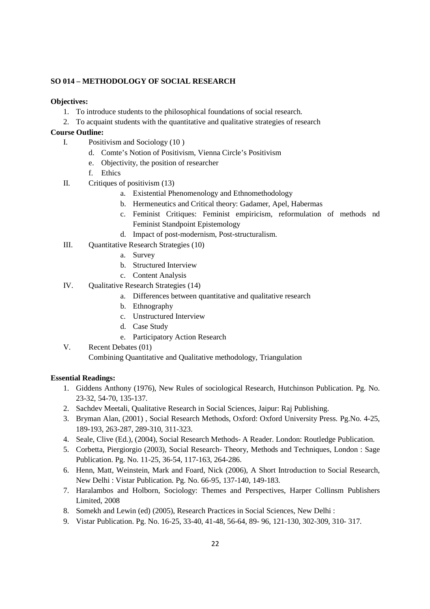## **SO 014 – METHODOLOGY OF SOCIAL RESEARCH**

## **Objectives:**

- 1. To introduce students to the philosophical foundations of social research.
- 2. To acquaint students with the quantitative and qualitative strategies of research

## **Course Outline:**

- I. Positivism and Sociology (10 )
	- d. Comte's Notion of Positivism, Vienna Circle's Positivism
	- e. Objectivity, the position of researcher
	- f. Ethics
- II. Critiques of positivism (13)
	- a. Existential Phenomenology and Ethnomethodology
	- b. Hermeneutics and Critical theory: Gadamer, Apel, Habermas
	- c. Feminist Critiques: Feminist empiricism, reformulation of methods nd Feminist Standpoint Epistemology
	- d. Impact of post-modernism, Post-structuralism.
- III. Quantitative Research Strategies (10)
	- a. Survey
	- b. Structured Interview
	- c. Content Analysis
- IV. Qualitative Research Strategies (14)
	- a. Differences between quantitative and qualitative research
	- b. Ethnography
	- c. Unstructured Interview
	- d. Case Study
	- e. Participatory Action Research
- V. Recent Debates (01)

Combining Quantitative and Qualitative methodology, Triangulation

- 1. Giddens Anthony (1976), New Rules of sociological Research, Hutchinson Publication. Pg. No. 23-32, 54-70, 135-137.
- 2. Sachdev Meetali, Qualitative Research in Social Sciences, Jaipur: Raj Publishing.
- 3. Bryman Alan, (2001) , Social Research Methods, Oxford: Oxford University Press. Pg.No. 4-25, 189-193, 263-287, 289-310, 311-323.
- 4. Seale, Clive (Ed.), (2004), Social Research Methods- A Reader. London: Routledge Publication.
- 5. Corbetta, Piergiorgio (2003), Social Research- Theory, Methods and Techniques, London : Sage Publication. Pg. No. 11-25, 36-54, 117-163, 264-286.
- 6. Henn, Matt, Weinstein, Mark and Foard, Nick (2006), A Short Introduction to Social Research, New Delhi : Vistar Publication. Pg. No. 66-95, 137-140, 149-183.
- 7. Haralambos and Holborn, Sociology: Themes and Perspectives, Harper Collinsm Publishers Limited, 2008
- 8. Somekh and Lewin (ed) (2005), Research Practices in Social Sciences, New Delhi :
- 9. Vistar Publication. Pg. No. 16-25, 33-40, 41-48, 56-64, 89- 96, 121-130, 302-309, 310- 317.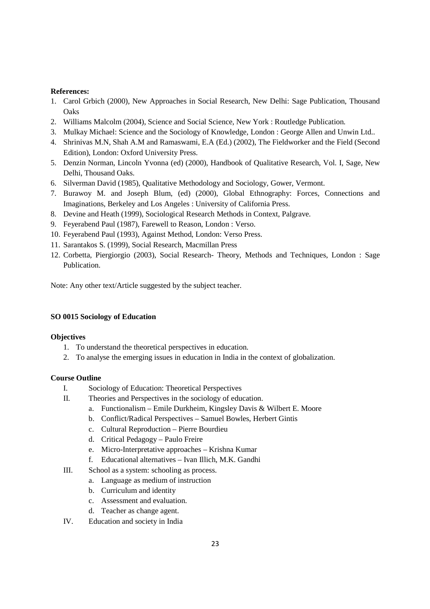## **References:**

- 1. Carol Grbich (2000), New Approaches in Social Research, New Delhi: Sage Publication, Thousand **Oaks**
- 2. Williams Malcolm (2004), Science and Social Science, New York : Routledge Publication.
- 3. Mulkay Michael: Science and the Sociology of Knowledge, London : George Allen and Unwin Ltd..
- 4. Shrinivas M.N, Shah A.M and Ramaswami, E.A (Ed.) (2002), The Fieldworker and the Field (Second Edition), London: Oxford University Press.
- 5. Denzin Norman, Lincoln Yvonna (ed) (2000), Handbook of Qualitative Research, Vol. I, Sage, New Delhi, Thousand Oaks.
- 6. Silverman David (1985), Qualitative Methodology and Sociology, Gower, Vermont.
- 7. Burawoy M. and Joseph Blum, (ed) (2000), Global Ethnography: Forces, Connections and Imaginations, Berkeley and Los Angeles : University of California Press.
- 8. Devine and Heath (1999), Sociological Research Methods in Context, Palgrave.
- 9. Feyerabend Paul (1987), Farewell to Reason, London : Verso.
- 10. Feyerabend Paul (1993), Against Method, London: Verso Press.
- 11. Sarantakos S. (1999), Social Research, Macmillan Press
- 12. Corbetta, Piergiorgio (2003), Social Research- Theory, Methods and Techniques, London : Sage Publication.

Note: Any other text/Article suggested by the subject teacher.

## **SO 0015 Sociology of Education**

## **Objectives**

- 1. To understand the theoretical perspectives in education.
- 2. To analyse the emerging issues in education in India in the context of globalization.

## **Course Outline**

- I. Sociology of Education: Theoretical Perspectives
- II. Theories and Perspectives in the sociology of education.
	- a. Functionalism Emile Durkheim, Kingsley Davis & Wilbert E. Moore
	- b. Conflict/Radical Perspectives Samuel Bowles, Herbert Gintis
	- c. Cultural Reproduction Pierre Bourdieu
	- d. Critical Pedagogy Paulo Freire
	- e. Micro-Interpretative approaches Krishna Kumar
	- f. Educational alternatives Ivan Illich, M.K. Gandhi
- III. School as a system: schooling as process.
	- a. Language as medium of instruction
	- b. Curriculum and identity
	- c. Assessment and evaluation.
	- d. Teacher as change agent.
- IV. Education and society in India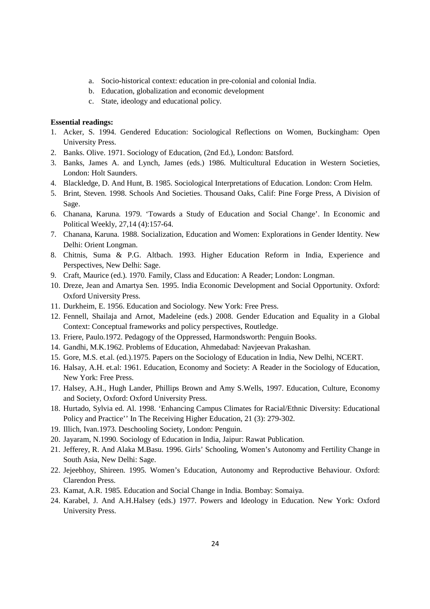- a. Socio-historical context: education in pre-colonial and colonial India.
- b. Education, globalization and economic development
- c. State, ideology and educational policy.

- 1. Acker, S. 1994. Gendered Education: Sociological Reflections on Women, Buckingham: Open University Press.
- 2. Banks. Olive. 1971. Sociology of Education, (2nd Ed.), London: Batsford.
- 3. Banks, James A. and Lynch, James (eds.) 1986. Multicultural Education in Western Societies, London: Holt Saunders.
- 4. Blackledge, D. And Hunt, B. 1985. Sociological Interpretations of Education. London: Crom Helm.
- 5. Brint, Steven. 1998. Schools And Societies. Thousand Oaks, Calif: Pine Forge Press, A Division of Sage.
- 6. Chanana, Karuna. 1979. 'Towards a Study of Education and Social Change'. In Economic and Political Weekly, 27,14 (4):157-64.
- 7. Chanana, Karuna. 1988. Socialization, Education and Women: Explorations in Gender Identity. New Delhi: Orient Longman.
- 8. Chitnis, Suma & P.G. Altbach. 1993. Higher Education Reform in India, Experience and Perspectives, New Delhi: Sage.
- 9. Craft, Maurice (ed.). 1970. Family, Class and Education: A Reader; London: Longman.
- 10. Dreze, Jean and Amartya Sen. 1995. India Economic Development and Social Opportunity. Oxford: Oxford University Press.
- 11. Durkheim, E. 1956. Education and Sociology. New York: Free Press.
- 12. Fennell, Shailaja and Arnot, Madeleine (eds.) 2008. Gender Education and Equality in a Global Context: Conceptual frameworks and policy perspectives, Routledge.
- 13. Friere, Paulo.1972. Pedagogy of the Oppressed, Harmondsworth: Penguin Books.
- 14. Gandhi, M.K.1962. Problems of Education, Ahmedabad: Navjeevan Prakashan.
- 15. Gore, M.S. et.al. (ed.).1975. Papers on the Sociology of Education in India, New Delhi, NCERT.
- 16. Halsay, A.H. et.al: 1961. Education, Economy and Society: A Reader in the Sociology of Education, New York: Free Press.
- 17. Halsey, A.H., Hugh Lander, Phillips Brown and Amy S.Wells, 1997. Education, Culture, Economy and Society, Oxford: Oxford University Press.
- 18. Hurtado, Sylvia ed. Al. 1998. 'Enhancing Campus Climates for Racial/Ethnic Diversity: Educational Policy and Practice'' In The Receiving Higher Education, 21 (3): 279-302.
- 19. Illich, Ivan.1973. Deschooling Society, London: Penguin.
- 20. Jayaram, N.1990. Sociology of Education in India, Jaipur: Rawat Publication.
- 21. Jefferey, R. And Alaka M.Basu. 1996. Girls' Schooling, Women's Autonomy and Fertility Change in South Asia, New Delhi: Sage.
- 22. Jejeebhoy, Shireen. 1995. Women's Education, Autonomy and Reproductive Behaviour. Oxford: Clarendon Press.
- 23. Kamat, A.R. 1985. Education and Social Change in India. Bombay: Somaiya.
- 24. Karabel, J. And A.H.Halsey (eds.) 1977. Powers and Ideology in Education. New York: Oxford University Press.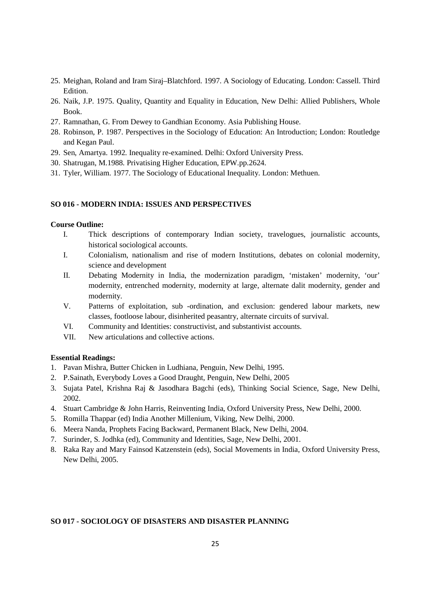- 25. Meighan, Roland and Iram Siraj–Blatchford. 1997. A Sociology of Educating. London: Cassell. Third Edition.
- 26. Naik, J.P. 1975. Quality, Quantity and Equality in Education, New Delhi: Allied Publishers, Whole Book.
- 27. Ramnathan, G. From Dewey to Gandhian Economy. Asia Publishing House.
- 28. Robinson, P. 1987. Perspectives in the Sociology of Education: An Introduction; London: Routledge and Kegan Paul.
- 29. Sen, Amartya. 1992. Inequality re-examined. Delhi: Oxford University Press.
- 30. Shatrugan, M.1988. Privatising Higher Education, EPW.pp.2624.
- 31. Tyler, William. 1977. The Sociology of Educational Inequality. London: Methuen.

# **SO 016 - MODERN INDIA: ISSUES AND PERSPECTIVES**

#### **Course Outline:**

- I. Thick descriptions of contemporary Indian society, travelogues, journalistic accounts, historical sociological accounts.
- I. Colonialism, nationalism and rise of modern Institutions, debates on colonial modernity, science and development
- II. Debating Modernity in India, the modernization paradigm, 'mistaken' modernity, 'our' modernity, entrenched modernity, modernity at large, alternate dalit modernity, gender and modernity.
- V. Patterns of exploitation, sub -ordination, and exclusion: gendered labour markets, new classes, footloose labour, disinherited peasantry, alternate circuits of survival.
- VI. Community and Identities: constructivist, and substantivist accounts.
- VII. New articulations and collective actions.

#### **Essential Readings:**

- 1. Pavan Mishra, Butter Chicken in Ludhiana, Penguin, New Delhi, 1995.
- 2. P.Sainath, Everybody Loves a Good Draught, Penguin, New Delhi, 2005
- 3. Sujata Patel, Krishna Raj & Jasodhara Bagchi (eds), Thinking Social Science, Sage, New Delhi, 2002.
- 4. Stuart Cambridge & John Harris, Reinventing India, Oxford University Press, New Delhi, 2000.
- 5. Romilla Thappar (ed) India Another Millenium, Viking, New Delhi, 2000.
- 6. Meera Nanda, Prophets Facing Backward, Permanent Black, New Delhi, 2004.
- 7. Surinder, S. Jodhka (ed), Community and Identities, Sage, New Delhi, 2001.
- 8. Raka Ray and Mary Fainsod Katzenstein (eds), Social Movements in India, Oxford University Press, New Delhi, 2005.

## **SO 017 - SOCIOLOGY OF DISASTERS AND DISASTER PLANNING**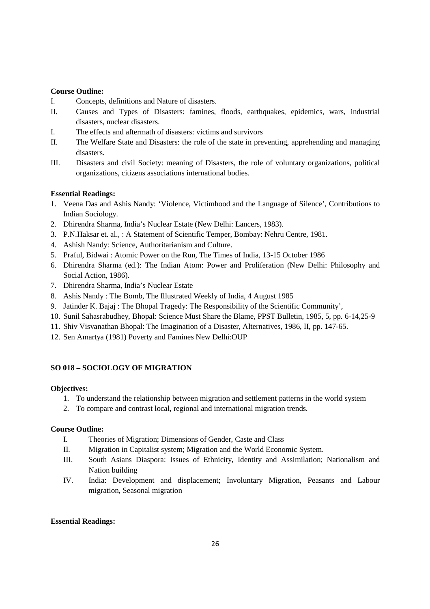#### **Course Outline:**

- I. Concepts, definitions and Nature of disasters.
- II. Causes and Types of Disasters: famines, floods, earthquakes, epidemics, wars, industrial disasters, nuclear disasters.
- I. The effects and aftermath of disasters: victims and survivors
- II. The Welfare State and Disasters: the role of the state in preventing, apprehending and managing disasters.
- III. Disasters and civil Society: meaning of Disasters, the role of voluntary organizations, political organizations, citizens associations international bodies.

# **Essential Readings:**

- 1. Veena Das and Ashis Nandy: 'Violence, Victimhood and the Language of Silence', Contributions to Indian Sociology.
- 2. Dhirendra Sharma, India's Nuclear Estate (New Delhi: Lancers, 1983).
- 3. P.N.Haksar et. al., : A Statement of Scientific Temper, Bombay: Nehru Centre, 1981.
- 4. Ashish Nandy: Science, Authoritarianism and Culture.
- 5. Praful, Bidwai : Atomic Power on the Run, The Times of India, 13-15 October 1986
- 6. Dhirendra Sharma (ed.): The Indian Atom: Power and Proliferation (New Delhi: Philosophy and Social Action, 1986).
- 7. Dhirendra Sharma, India's Nuclear Estate
- 8. Ashis Nandy : The Bomb, The Illustrated Weekly of India, 4 August 1985
- 9. Jatinder K. Bajaj : The Bhopal Tragedy: The Responsibility of the Scientific Community',
- 10. Sunil Sahasrabudhey, Bhopal: Science Must Share the Blame, PPST Bulletin, 1985, 5, pp. 6-14,25-9
- 11. Shiv Visvanathan Bhopal: The Imagination of a Disaster, Alternatives, 1986, II, pp. 147-65.
- 12. Sen Amartya (1981) Poverty and Famines New Delhi:OUP

## **SO 018 – SOCIOLOGY OF MIGRATION**

#### **Objectives:**

- 1. To understand the relationship between migration and settlement patterns in the world system
- 2. To compare and contrast local, regional and international migration trends.

# **Course Outline:**

- I. Theories of Migration; Dimensions of Gender, Caste and Class
- II. Migration in Capitalist system; Migration and the World Economic System.
- III. South Asians Diaspora: Issues of Ethnicity, Identity and Assimilation; Nationalism and Nation building
- IV. India: Development and displacement; Involuntary Migration, Peasants and Labour migration, Seasonal migration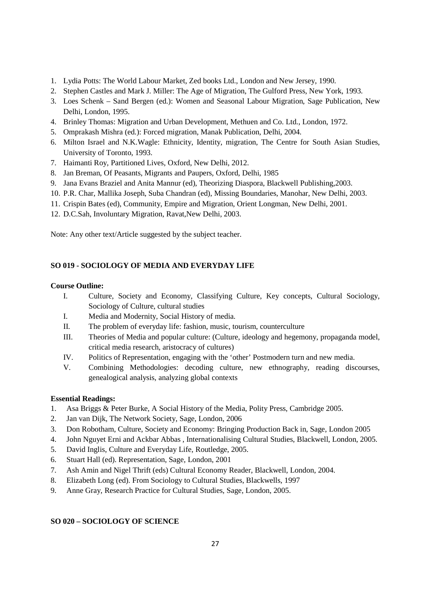- 1. Lydia Potts: The World Labour Market, Zed books Ltd., London and New Jersey, 1990.
- 2. Stephen Castles and Mark J. Miller: The Age of Migration, The Gulford Press, New York, 1993.
- 3. Loes Schenk Sand Bergen (ed.): Women and Seasonal Labour Migration, Sage Publication, New Delhi, London, 1995.
- 4. Brinley Thomas: Migration and Urban Development, Methuen and Co. Ltd., London, 1972.
- 5. Omprakash Mishra (ed.): Forced migration, Manak Publication, Delhi, 2004.
- 6. Milton Israel and N.K.Wagle: Ethnicity, Identity, migration, The Centre for South Asian Studies, University of Toronto, 1993.
- 7. Haimanti Roy, Partitioned Lives, Oxford, New Delhi, 2012.
- 8. Jan Breman, Of Peasants, Migrants and Paupers, Oxford, Delhi, 1985
- 9. Jana Evans Braziel and Anita Mannur (ed), Theorizing Diaspora, Blackwell Publishing,2003.
- 10. P.R. Char, Mallika Joseph, Suba Chandran (ed), Missing Boundaries, Manohar, New Delhi, 2003.
- 11. Crispin Bates (ed), Community, Empire and Migration, Orient Longman, New Delhi, 2001.
- 12. D.C.Sah, Involuntary Migration, Ravat,New Delhi, 2003.

Note: Any other text/Article suggested by the subject teacher.

# **SO 019 - SOCIOLOGY OF MEDIA AND EVERYDAY LIFE**

### **Course Outline:**

- I. Culture, Society and Economy, Classifying Culture, Key concepts, Cultural Sociology, Sociology of Culture, cultural studies
- I. Media and Modernity, Social History of media.
- II. The problem of everyday life: fashion, music, tourism, counterculture
- III. Theories of Media and popular culture: (Culture, ideology and hegemony, propaganda model, critical media research, aristocracy of cultures)
- IV. Politics of Representation, engaging with the 'other' Postmodern turn and new media.
- V. Combining Methodologies: decoding culture, new ethnography, reading discourses, genealogical analysis, analyzing global contexts

## **Essential Readings:**

- 1. Asa Briggs & Peter Burke, A Social History of the Media, Polity Press, Cambridge 2005.
- 2. Jan van Dijk, The Network Society, Sage, London, 2006
- 3. Don Robotham, Culture, Society and Economy: Bringing Production Back in, Sage, London 2005
- 4. John Nguyet Erni and Ackbar Abbas , Internationalising Cultural Studies, Blackwell, London, 2005.
- 5. David Inglis, Culture and Everyday Life, Routledge, 2005.
- 6. Stuart Hall (ed). Representation, Sage, London, 2001
- 7. Ash Amin and Nigel Thrift (eds) Cultural Economy Reader, Blackwell, London, 2004.
- 8. Elizabeth Long (ed). From Sociology to Cultural Studies, Blackwells, 1997
- 9. Anne Gray, Research Practice for Cultural Studies, Sage, London, 2005.

## **SO 020 – SOCIOLOGY OF SCIENCE**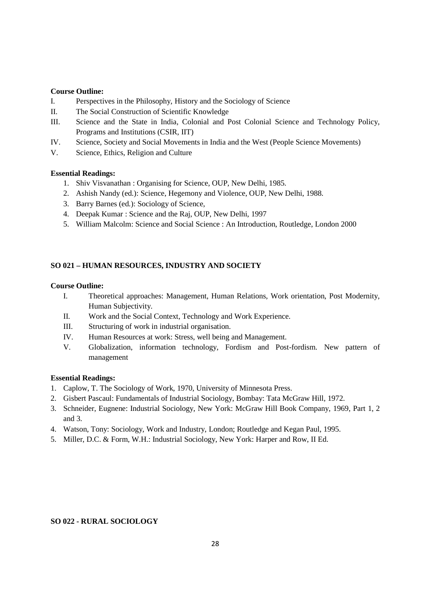#### **Course Outline:**

- I. Perspectives in the Philosophy, History and the Sociology of Science
- II. The Social Construction of Scientific Knowledge
- III. Science and the State in India, Colonial and Post Colonial Science and Technology Policy, Programs and Institutions (CSIR, IIT)
- IV. Science, Society and Social Movements in India and the West (People Science Movements)
- V. Science, Ethics, Religion and Culture

## **Essential Readings:**

- 1. Shiv Visvanathan : Organising for Science, OUP, New Delhi, 1985.
- 2. Ashish Nandy (ed.): Science, Hegemony and Violence, OUP, New Delhi, 1988.
- 3. Barry Barnes (ed.): Sociology of Science,
- 4. Deepak Kumar : Science and the Raj, OUP, New Delhi, 1997
- 5. William Malcolm: Science and Social Science : An Introduction, Routledge, London 2000

## **SO 021 – HUMAN RESOURCES, INDUSTRY AND SOCIETY**

#### **Course Outline:**

- I. Theoretical approaches: Management, Human Relations, Work orientation, Post Modernity, Human Subjectivity.
- II. Work and the Social Context, Technology and Work Experience.
- III. Structuring of work in industrial organisation.
- IV. Human Resources at work: Stress, well being and Management.
- V. Globalization, information technology, Fordism and Post-fordism. New pattern of management

#### **Essential Readings:**

- 1. Caplow, T. The Sociology of Work, 1970, University of Minnesota Press.
- 2. Gisbert Pascaul: Fundamentals of Industrial Sociology, Bombay: Tata McGraw Hill, 1972.
- 3. Schneider, Eugnene: Industrial Sociology, New York: McGraw Hill Book Company, 1969, Part 1, 2 and 3.
- 4. Watson, Tony: Sociology, Work and Industry, London; Routledge and Kegan Paul, 1995.
- 5. Miller, D.C. & Form, W.H.: Industrial Sociology, New York: Harper and Row, II Ed.

## **SO 022 - RURAL SOCIOLOGY**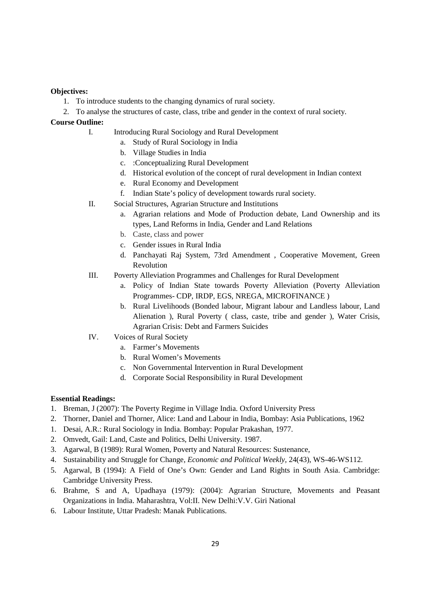## **Objectives:**

- 1. To introduce students to the changing dynamics of rural society.
- 2. To analyse the structures of caste, class, tribe and gender in the context of rural society.

## **Course Outline:**

- I. Introducing Rural Sociology and Rural Development
	- a. Study of Rural Sociology in India
	- b. Village Studies in India
	- c. :Conceptualizing Rural Development
	- d. Historical evolution of the concept of rural development in Indian context
	- e. Rural Economy and Development
	- f. Indian State's policy of development towards rural society.
- II. Social Structures, Agrarian Structure and Institutions
	- a. Agrarian relations and Mode of Production debate, Land Ownership and its types, Land Reforms in India, Gender and Land Relations
	- b. Caste, class and power
	- c. Gender issues in Rural India
	- d. Panchayati Raj System, 73rd Amendment , Cooperative Movement, Green Revolution
- III. Poverty Alleviation Programmes and Challenges for Rural Development
	- a. Policy of Indian State towards Poverty Alleviation (Poverty Alleviation Programmes- CDP, IRDP, EGS, NREGA, MICROFINANCE )
	- b. Rural Livelihoods (Bonded labour, Migrant labour and Landless labour, Land Alienation ), Rural Poverty ( class, caste, tribe and gender ), Water Crisis, Agrarian Crisis: Debt and Farmers Suicides
- IV. Voices of Rural Society
	- a. Farmer's Movements
	- b. Rural Women's Movements
	- c. Non Governmental Intervention in Rural Development
	- d. Corporate Social Responsibility in Rural Development

- 1. Breman, J (2007): The Poverty Regime in Village India. Oxford University Press
- 2. Thorner, Daniel and Thorner, Alice: Land and Labour in India, Bombay: Asia Publications, 1962
- 1. Desai, A.R.: Rural Sociology in India. Bombay: Popular Prakashan, 1977.
- 2. Omvedt, Gail: Land, Caste and Politics, Delhi University. 1987.
- 3. Agarwal, B (1989): Rural Women, Poverty and Natural Resources: Sustenance,
- 4. Sustainability and Struggle for Change, *Economic and Political Weekly,* 24(43), WS-46-WS112.
- 5. Agarwal, B (1994): A Field of One's Own: Gender and Land Rights in South Asia. Cambridge: Cambridge University Press.
- 6. Brahme, S and A, Upadhaya (1979): (2004): Agrarian Structure, Movements and Peasant Organizations in India. Maharashtra, Vol:II. New Delhi:V.V. Giri National
- 6. Labour Institute, Uttar Pradesh: Manak Publications.